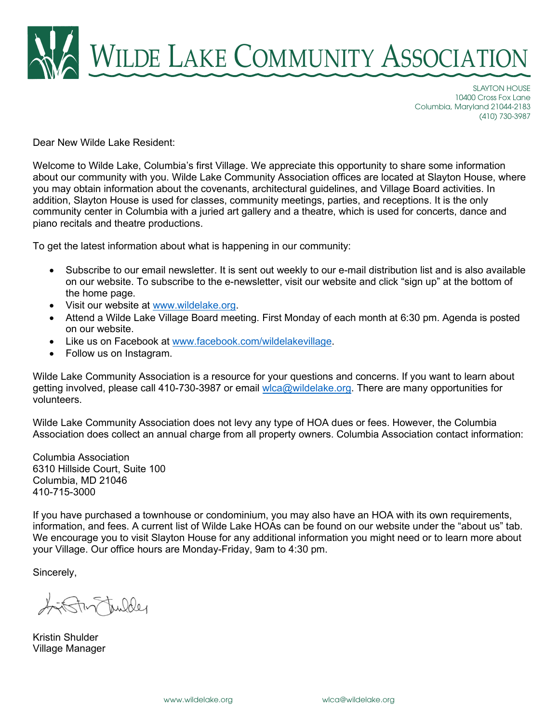

SLAYTON HOUSE 10400 Cross Fox Lane Columbia, Maryland 21044-2183 (410) 730-3987

Dear New Wilde Lake Resident:

Welcome to Wilde Lake, Columbia's first Village. We appreciate this opportunity to share some information about our community with you. Wilde Lake Community Association offices are located at Slayton House, where you may obtain information about the covenants, architectural guidelines, and Village Board activities. In addition, Slayton House is used for classes, community meetings, parties, and receptions. It is the only community center in Columbia with a juried art gallery and a theatre, which is used for concerts, dance and piano recitals and theatre productions.

To get the latest information about what is happening in our community:

- Subscribe to our email newsletter. It is sent out weekly to our e-mail distribution list and is also available on our website. To subscribe to the e-newsletter, visit our website and click "sign up" at the bottom of the home page.
- Visit our website at [www.wildelake.org.](http://www.wildelake.org/)
- Attend a Wilde Lake Village Board meeting. First Monday of each month at 6:30 pm. Agenda is posted on our website.
- Like us on Facebook at [www.facebook.com/wildelakevillage.](http://www.facebook.com/wildelakevillage)
- Follow us on Instagram.

Wilde Lake Community Association is a resource for your questions and concerns. If you want to learn about getting involved, please call 410-730-3987 or email [wlca@wildelake.org.](mailto:wlca@wildelake.org) There are many opportunities for volunteers.

Wilde Lake Community Association does not levy any type of HOA dues or fees. However, the Columbia Association does collect an annual charge from all property owners. Columbia Association contact information:

Columbia Association 6310 Hillside Court, Suite 100 Columbia, MD 21046 410-715-3000

If you have purchased a townhouse or condominium, you may also have an HOA with its own requirements, information, and fees. A current list of Wilde Lake HOAs can be found on our website under the "about us" tab. We encourage you to visit Slayton House for any additional information you might need or to learn more about your Village. Our office hours are Monday-Friday, 9am to 4:30 pm.

Sincerely,

Stur tuilder

Kristin Shulder Village Manager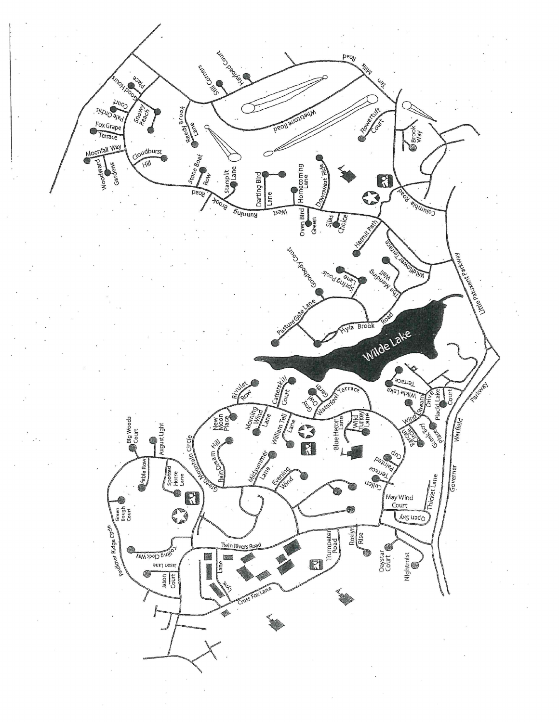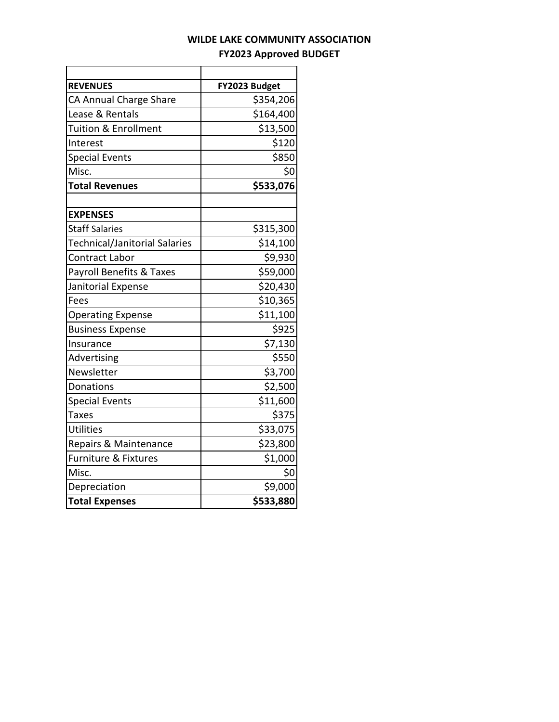## **WILDE LAKE COMMUNITY ASSOCIATION FY2023 Approved BUDGET**

| <b>REVENUES</b>                     | FY2023 Budget |
|-------------------------------------|---------------|
| CA Annual Charge Share              | \$354,206     |
| Lease & Rentals                     | \$164,400     |
| <b>Tuition &amp; Enrollment</b>     | \$13,500      |
| Interest                            | \$120         |
| <b>Special Events</b>               | \$850         |
| Misc.                               | \$0           |
| <b>Total Revenues</b>               | \$533,076     |
|                                     |               |
| <b>EXPENSES</b>                     |               |
| <b>Staff Salaries</b>               | \$315,300     |
| Technical/Janitorial Salaries       | \$14,100      |
| <b>Contract Labor</b>               | \$9,930       |
| <b>Payroll Benefits &amp; Taxes</b> | \$59,000      |
| Janitorial Expense                  | \$20,430      |
| Fees                                | \$10,365      |
| <b>Operating Expense</b>            | \$11,100      |
| <b>Business Expense</b>             | \$925         |
| Insurance                           | \$7,130       |
| Advertising                         | \$550         |
| Newsletter                          | \$3,700       |
| Donations                           | \$2,500       |
| <b>Special Events</b>               | \$11,600      |
| <b>Taxes</b>                        | \$375         |
| <b>Utilities</b>                    | \$33,075      |
| Repairs & Maintenance               | \$23,800      |
| <b>Furniture &amp; Fixtures</b>     | \$1,000       |
| Misc.                               | \$0           |
| Depreciation                        | \$9,000       |
| <b>Total Expenses</b>               | \$533,880     |